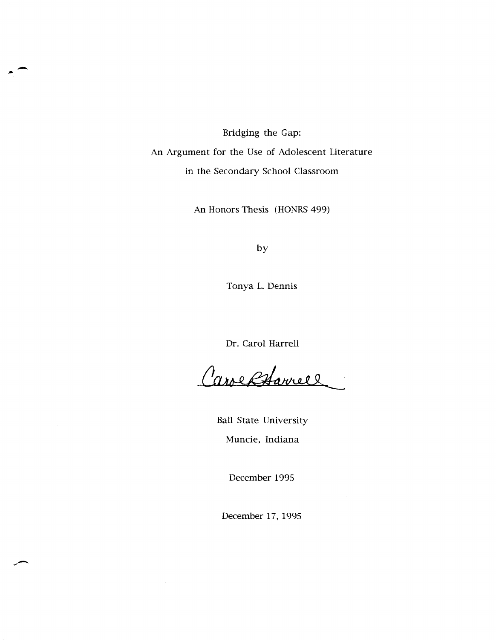Bridging the Gap: An Argument for the Use of Adolescent Literature in the Secondary School Classroom

-

An Honors Thesis (HONRS 499)

by

Tonya L. Dennis

Dr. Carol Harrell

Carol Harrell

Ball State University Muncie, Indiana

December 1995

December 17, 1995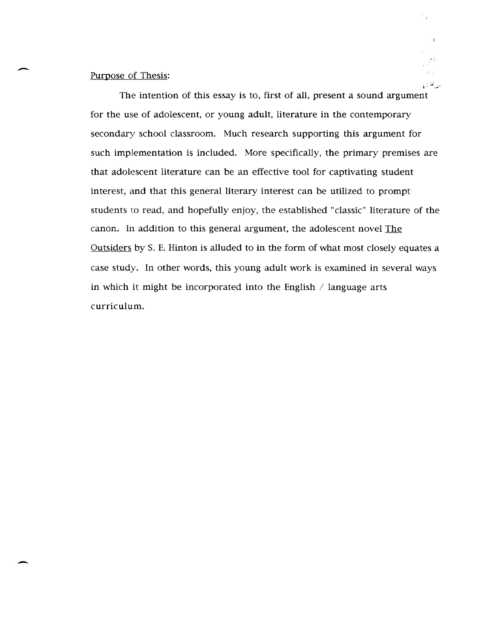## Purpose of Thesis:

,-

-

The intention of this essay is to, first of all, present a sound argument for the use of adolescent, or young adult, literature in the contemporary secondary school classroom. Much research supporting this argument for such implementation is included. More specifically, the primary premises are that adolescent literature can be an effective tool for captivating student interest, and that this general literary interest can be utilized to prompt students to read, and hopefully enjoy, the established "classic" literature of the canon. In addition to this general argument, the adolescent novel The Outsiders by S. E. Hinton is alluded to in the form of what most closely equates a case study. In other words, this young adult work is examined in several ways in which it might be incorporated into the English  $\ell$  language arts curriculum.

 $\mathcal{E}_L$ 

 $\{\hat{G}_k\}_{k=1}^N$ مدعلت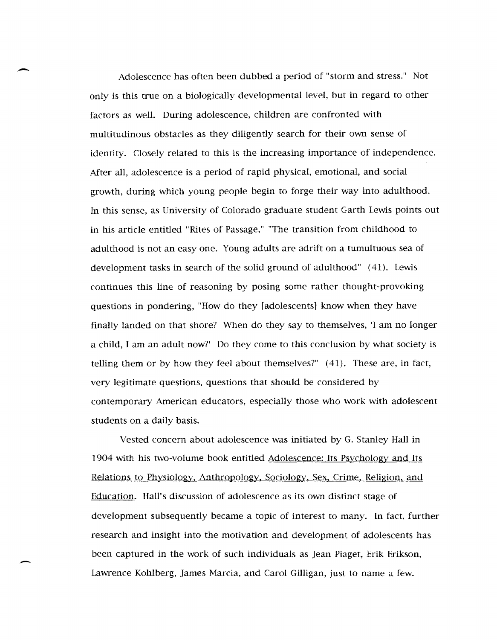Adolescence has often been dubbed a period of "storm and stress." Not only is this true on a biologically developmental level, but in regard to other factors as well. During adolescence, children are confronted with multitudinous obstacles as they diligently search for their own sense of identity. Closely related to this is the increasing importance of independence. After all, adolescence is a period of rapid physical, emotional, and social growth, during which young people begin to forge their way into adulthood. In this sense, as University of Colorado graduate student Garth Lewis points out in his article entitled "Rites of Passage," "The transition from childhood to adulthood is not an easy one. Young adults are adrift on a tumultuous sea of development tasks in search of the solid ground of adulthood" (41). Lewis continues this line of reasoning by posing some rather thought-provoking questions in pondering, "How do they [adolescents] know when they have finally landed on that shore? When do they say to themselves, 'I am no longer a child, I am an adult now?' Do they come to this conclusion by what society is telling them or by how they feel about themselves?" (41). These are, in fact, very legitimate questions, questions that should be considered by contemporary American educators, especially those who work with adolescent students on a daily basis.

-

-

Vested concern about adolescence was initiated by G. Stanley Hall in 1904 with his two-volume book entitled Adolescence: Its Psychology and Its Relations to Physiology. Anthropology. Sociology, Sex. Crime. Religion. and Education. Hall's discussion of adolescence as its own distinct stage of development subsequently became a topic of interest to many. In fact, further research and insight into the motivation and development of adolescents has been captured in the work of such individuals as Jean Piaget, Erik Erikson, Lawrence Kohlberg, James Marcia, and Carol Gilligan, just to name a few.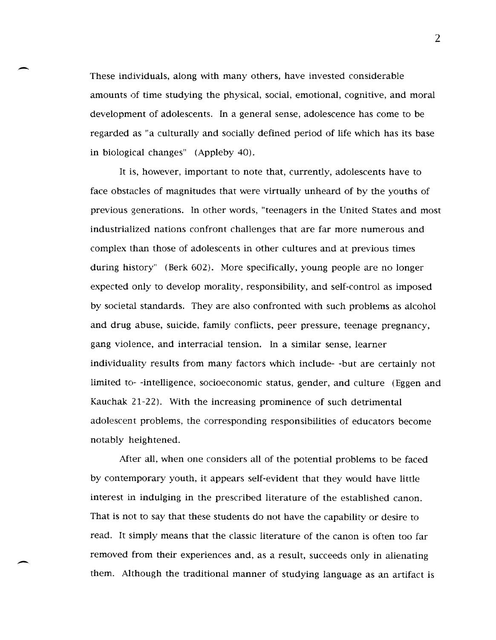These individuals, along with many others, have invested considerable amounts of time studying the physical, social, emotional, cognitive, and moral development of adolescents. In a general sense, adolescence has come to be regarded as "a culturally and socially defined period of life which has its base in biological changes" (Appleby 40).

-

-

It is, however, important to note that, currently, adolescents have to face obstacles of magnitudes that were virtually unheard of by the youths of previous generations. In other words, "teenagers in the United States and most industrialized nations confront challenges that are far more numerous and complex than those of adolescents in other cultures and at previous times during history" (Berk 602). More specifically, young people are no longer expected only to develop morality, responsibility, and self-control as imposed by societal standards. They are also confronted with such problems as alcohol and drug abuse, suicide, family conflicts, peer pressure, teenage pregnancy, gang violence, and interracial tension. In a similar sense, learner individuality results from many factors which include- -but are certainly not limited to- -intelligence, socioeconomic status, gender, and culture (Eggen and Kauchak 21-22). With the increasing prominence of such detrimental adolescent problems, the corresponding responsibilities of educators become notably heightened.

After all, when one considers all of the potential problems to be faced by contemporary youth, it appears self-evident that they would have little interest in indulging in the prescribed literature of the established canon. That is not to say that these students do not have the capability or desire to read. It simply means that the classic literature of the canon is often too far removed from their experiences and, as a result, succeeds only in alienating them. Although the traditional manner of studying language as an artifact is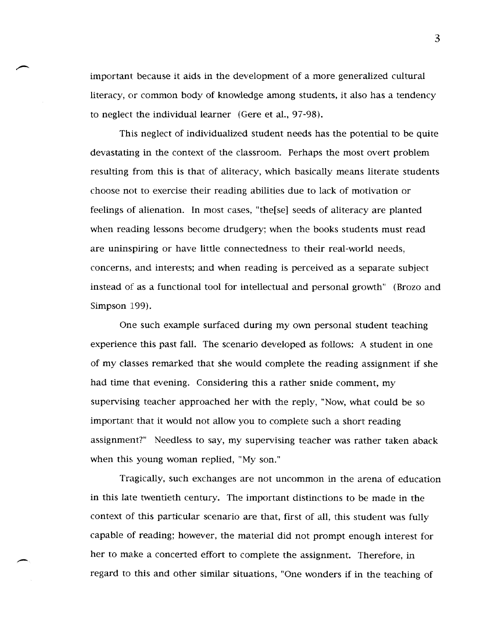important because it aids in the development of a more generalized cultural literacy, or common body of knowledge among students, it also has a tendency to neglect the individual learner (Gere et al., 97-98).

This neglect of individualized student needs has the potential to be quite devastating in the context of the classroom. Perhaps the most overt problem resulting from this is that of aliteracy, which basically means literate students choose not to exercise their reading abilities due to lack of motivation or feelings of alienation. In most cases, "the[se] seeds of aliteracy are planted when reading lessons become drudgery; when the books students must read are uninspiring or have little connectedness to their real-world needs, concerns, and interests; and when reading is perceived as a separate subject instead of as a functional tool for intellectual and personal growth" (Brozo and Simpson 199).

One such example surfaced during my own personal student teaching experience this past fall. The scenario developed as follows: A student in one of my classes remarked that she would complete the reading assignment if she had time that evening. Considering this a rather snide comment, my supervising teacher approached her with the reply, "Now, what could be so important that it would not allow you to complete such a short reading assignment?" Needless to say, my supervising teacher was rather taken aback when this young woman replied, "My son."

Tragically, such exchanges are not uncommon in the arena of education in this late twentieth century. The important distinctions to be made in the context of this particular scenario are that, first of all, this student was fully capable of reading; however, the material did not prompt enough interest for her to make a concerted effort to complete the assignment. Therefore, in regard to this and other similar situations, "One wonders if in the teaching of

-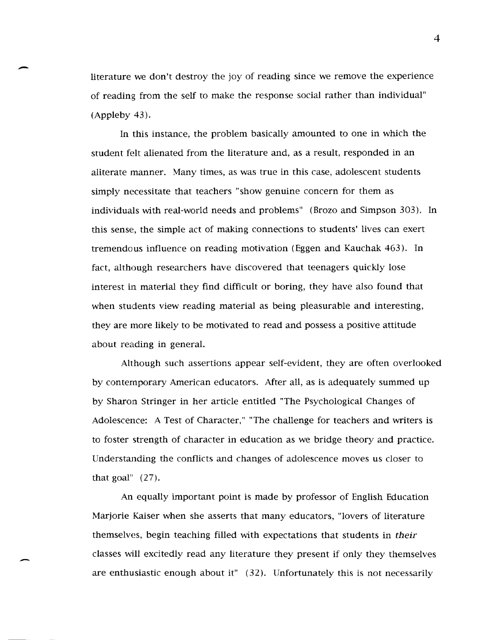literature we don't destroy the joy of reading since we remove the experience of reading from the self to make the response social rather than individual" (Appleby 43).

-

-

In this instance, the problem basically amounted to one in which the student felt alienated from the literature and, as a result, responded in an aliterate manner. Many times, as was true in this case, adolescent students simply necessitate that teachers "show genuine concern for them as individuals with real-world needs and problems" (Brozo and Simpson 303). In this sense, the simple act of making connections to students' lives can exert tremendous influence on reading motivation (Eggen and Kauchak 463). In fact, although researchers have discovered that teenagers quickly lose interest in material they find difficult or boring, they have also found that when students view reading material as being pleasurable and interesting, they are more likely to be motivated to read and possess a positive attitude about reading in general.

Although such assertions appear self-evident, they are often overlooked by contemporary American educators. After all, as is adequately summed up by Sharon Stringer in her article entitled "The Psychological Changes of Adolescence: A Test of Character," "The challenge for teachers and writers is to foster strength of character in education as we bridge theory and practice. Understanding the conflicts and changes of adolescence moves us closer to that goal" (27).

An equally important point is made by professor of English Education Marjorie Kaiser when she asserts that many educators, "lovers of literature themselves, begin teaching filled with expectations that students in *their*  classes will excitedly read any literature they present if only they themselves are enthusiastic enough about it" (32). Unfortunately this is not necessarily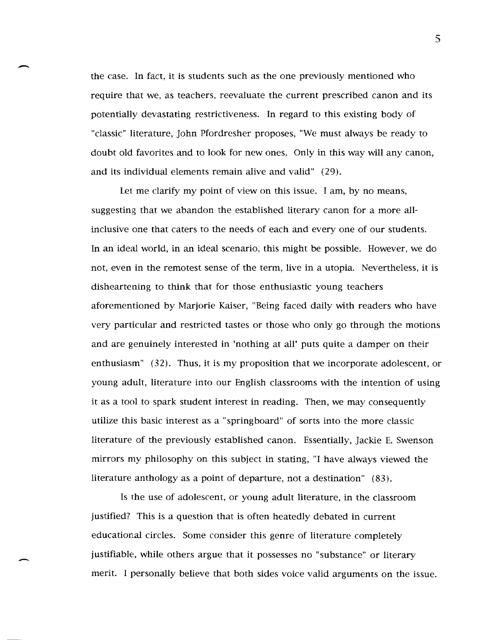the case. In fact, it is students such as the one previously mentioned who require that we, as teachers, reevaluate the current prescribed canon and its potentially devastating restrictiveness. In regard to this existing body of "classic" literature, John Pfordresher proposes, "We must always be ready to doubt old favorites and to look for new ones. Only in this way will any canon, and its individual elements remain alive and valid" (29).

-

 $\overline{\phantom{a}}$ 

Let me clarify my point of view on this issue. I am, by no means, suggesting that we abandon the established literary canon for a more allinclusive one that caters to the needs of each and everyone of our students. In an ideal world, in an ideal scenario, this might be possible. However, we do not, even in the remotest sense of the term, live in a utopia. Nevertheless, it is disheartening to think that for those enthusiastic young teachers aforementioned by Marjorie Kaiser, "Being faced daily with readers who have very particular and restricted tastes or those who only go through the motions and are genuinely interested in 'nothing at all' puts quite a damper on their enthusiasm" (32). Thus, it is my proposition that we incorporate adolescent, or young adult, literature into our English classrooms with the intention of using it as a tool to spark student interest in reading. Then, we may consequently utilize this basic interest as a "springboard" of sorts into the more classic literature of the previously established canon. Essentially, Jackie E. Swenson mirrors my philosophy on this subject in stating, "I have always viewed the literature anthology as a point of departure, not a destination" (83).

Is the use of adolescent, or young adult literature, in the classroom justified? This is a question that is often heatedly debated in current educational circles. Some consider this genre of literature completely justifiable, while others argue that it possesses no "substance" or literary merit. I personally believe that both sides voice valid arguments on the issue.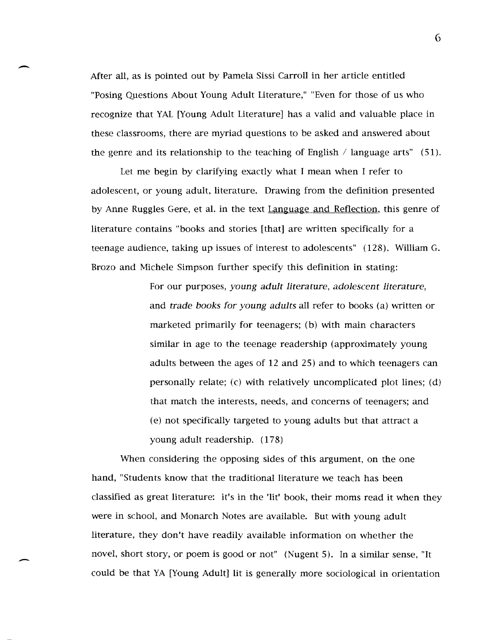After all, as is pointed out by Pamela Sissi Carroll in her article entitled "Posing Questions About Young Adult Literature," "Even for those of us who recognize that YAL [Young Adult Literature] has a valid and valuable place in these classrooms, there are myriad questions to be asked and answered about the genre and its relationship to the teaching of English / language arts"  $(51)$ .

-

-

Let me begin by clarifying exactly what I mean when I refer to adolescent, or young adult, literature. Drawing from the definition presented by Anne Ruggles Gere, et al. in the text Language and Reflection, this genre of literature contains "books and stories [that] are written specifically for a teenage audience, taking up issues of interest to adolescents" (128). William G. Brozo and Michele Simpson further specify this definition in stating:

> For our purposes, *young adult literature, adolescent literature,*  and *trade books for young adults* all refer to books (a) written or marketed primarily for teenagers; (b) with main characters similar in age to the teenage readership (approximately young adults between the ages of 12 and 25) and to which teenagers can personally relate; (c) with relatively uncomplicated plot lines; (d) that match the interests, needs, and concerns of teenagers; and (e) not specifically targeted to young adults but that attract a young adult readership. (178)

When considering the opposing sides of this argument, on the one hand, "Students know that the traditional literature we teach has been classified as great literature: it's in the 'lit' book, their moms read it when they were in school, and Monarch Notes are available. But with young adult literature, they don't have readily available information on whether the novel, short story, or poem is good or not" (Nugent 5). In a similar sense, "It could be that YA [Young Adult] lit is generally more sociological in orientation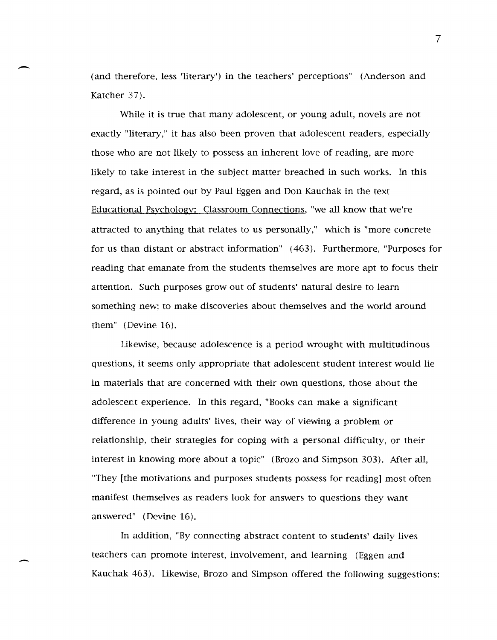(and therefore, less 'literary') in the teachers' perceptions" (Anderson and Katcher 37).

-

-

While it is true that many adolescent, or young adult, novels are not exactly "literary," it has also been proven that adolescent readers, especially those who are not likely to possess an inherent love of reading, are more likely to take interest in the subject matter breached in such works. In this regard, as is pointed out by Paul Eggen and Don Kauchak in the text Educational Psychology: Classroom Connections, "we all know that we're attracted to anything that relates to us personally," which is "more concrete for us than distant or abstract information" (463). Furthermore, "Purposes for reading that emanate from the students themselves are more apt to focus their attention. Such purposes grow out of students' natural desire to learn something new; to make discoveries about themselves and the world around them" (Devine 16).

Likewise, because adolescence is a period wrought with multitudinous questions, it seems only appropriate that adolescent student interest would lie in materials that are concerned with their own questions, those about the adolescent experience. In this regard, "Books can make a significant difference in young adults' lives, their way of viewing a problem or relationship, their strategies for coping with a personal difficulty, or their interest in knowing more about a topic" (Brozo and Simpson 303). After all, "They [the motivations and purposes students possess for reading] most often manifest themselves as readers look for answers to questions they want answered" (Devine 16).

In addition, "By connecting abstract content to students' daily lives teachers can promote interest, involvement, and learning (Eggen and Kauchak 463). Likewise, Brozo and Simpson offered the following suggestions: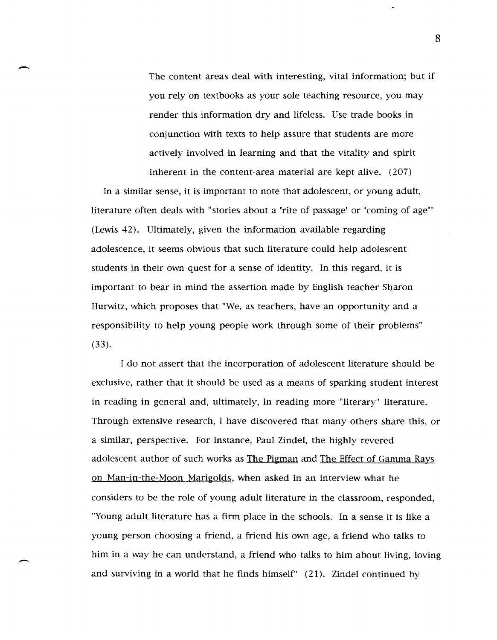The content areas deal with interesting, vital information; but if you rely on textbooks as your sole teaching resource, you may render this information dry and lifeless. Use trade books in conjunction with texts to help assure that students are more actively involved in learning and that the vitality and spirit inherent in the content-area material are kept alive. (207)

In a similar sense, it is important to note that adolescent, or young adult, literature often deals with "stories about a 'rite of passage' or 'coming of age'" (Lewis 42). Ultimately, given the information available regarding adolescence, it seems obvious that such literature could help adolescent students in their own quest for a sense of identity. In this regard, it is important to bear in mind the assertion made by English teacher Sharon Hurwitz, which proposes that "We, as teachers, have an opportunity and a responsibility to help young people work through some of their problems" (33).

I do not assert that the incorporation of adolescent literature should be exclusive, rather that it should be used as a means of sparking student interest in reading in general and, ultimately, in reading more "literary" literature. Through extensive research, I have discovered that many others share this, or a similar, perspective. For instance, Paul Zindel, the highly revered adolescent author of such works as The Pigman and The Effect of Gamma Rays on Man-in-the-Moon Marigolds, when asked in an interview what he considers to be the role of young adult literature in the classroom, responded, "Young adult literature has a firm place in the schools. In a sense it is like a young person choosing a friend, a friend his own age, a friend who talks to him in a way he can understand, a friend who talks to him about living, loving and surviving in a world that he finds himself" (21). Zindel continued by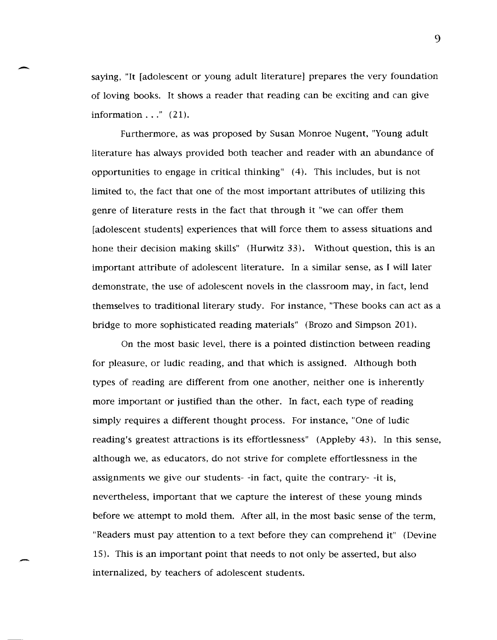saying, "It [adolescent or young adult literature] prepares the very foundation of loving books. It shows a reader that reading can be exciting and can give information  $\ldots$ " (21).

-

-

Furthermore, as was proposed by Susan Monroe Nugent, "Young adult literature has always provided both teacher and reader with an abundance of opportunities to engage in critical thinking" (4). This includes, but is not limited to, the fact that one of the most important attributes of utilizing this genre of literature rests in the fact that through it "we can offer them [adolescent students] experiences that will force them to assess situations and hone their decision making skills" (Hurwitz 33). Without question, this is an important attribute of adolescent literature. In a similar sense, as I will later demonstrate, the use of adolescent novels in the classroom may, in fact, lend themselves to traditional literary study. For instance, "These books can act as a bridge to more sophisticated reading materials" (Brozo and Simpson 201).

On the most basic level, there is a pointed distinction between reading for pleasure, or ludic reading, and that which is assigned. Although both types of reading are different from one another, neither one is inherently more important or justified than the other. In fact, each type of reading simply requires a different thought process. For instance, "One of ludic reading's greatest attractions is its effortlessness" (Appleby 43). In this sense, although we, as educators, do not strive for complete effortlessness in the assignments we give our students- -in fact, quite the contrary- -it is, nevertheless, important that we capture the interest of these young minds before we attempt to mold them. After all, in the most basic sense of the term, "Readers must pay attention to a text before they can comprehend it" (Devine 15). This is an important point that needs to not only be asserted, but also internalized, by teachers of adolescent students.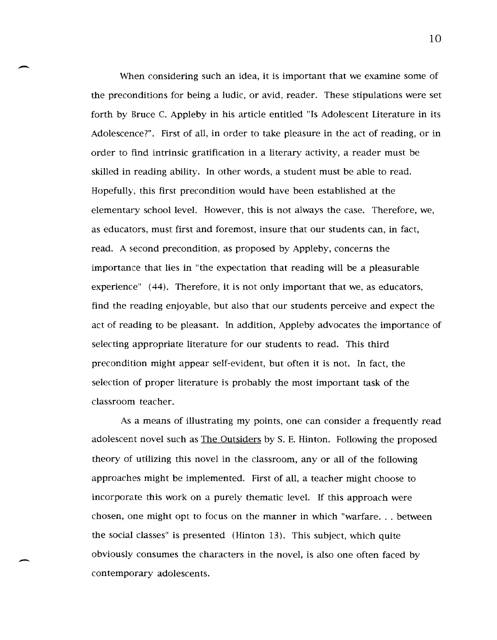When considering such an idea, it is important that we examine some of the preconditions for being a ludic, or avid, reader. These stipulations were set forth by Bruce C. Appleby in his article entitled "Is Adolescent literature in its Adolescence?". First of all, in order to take pleasure in the act of reading, or in order to find intrinsic gratification in a literary activity, a reader must be skilled in reading ability. In other words, a student must be able to read. Hopefully, this first precondition would have been established at the elementary school level. However, this is not always the case. Therefore, we, as educators, must first and foremost, insure that our students can, in fact, read. A second precondition, as proposed by Appleby, concerns the importance that lies in "the expectation that reading will be a pleasurable experience" (44). Therefore, it is not only important that we, as educators, find the reading enjoyable, but also that our students perceive and expect the act of reading to be pleasant. In addition, Appleby advocates the importance of selecting appropriate literature for our students to read. This third precondition might appear self-evident, but often it is not. In fact, the selection of proper literature is probably the most important task of the classroom teacher.

-

-

As a means of illustrating my points, one can consider a frequently read adolescent novel such as The Outsiders by S. E. Hinton. Following the proposed theory of utilizing this novel in the classroom, any or all of the following approaches might be implemented. First of all, a teacher might choose to incorporate this work on a purely thematic level. If this approach were chosen, one might opt to focus on the manner in which "warfare ... between the social classes" is presented (Hinton 13). This subject, which quite obviously consumes the characters in the novel, is also one often faced by contemporary adolescents.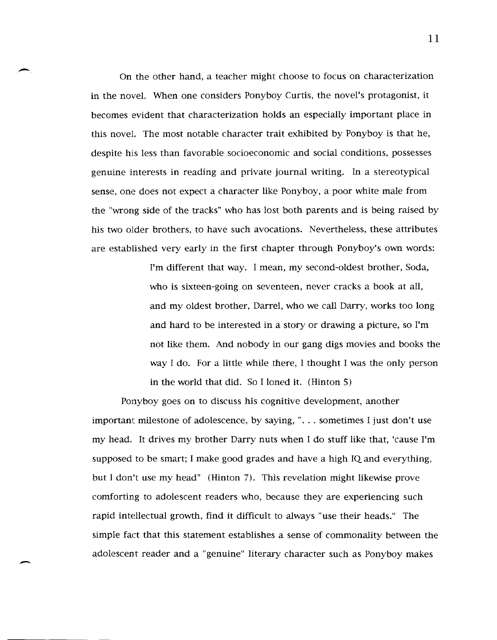On the other hand, a teacher might choose to focus on characterization in the novel. When one considers Ponyboy Curtis, the novel's protagonist, it becomes evident that characterization holds an especially important place in this novel. The most notable character trait exhibited by Ponyboy is that he, despite his less than favorable socioeconomic and social conditions, possesses genuine interests in reading and private journal writing. In a stereotypical sense, one does not expect a character like Ponyboy, a poor white male from the "wrong side of the tracks" who has lost both parents and is being raised by his two older brothers, to have such avocations. Nevertheless, these attributes are established very early in the first chapter through Ponyboy's own words:

-

 $\overline{\phantom{a}}$ 

I'm different that way. I mean, my second-oldest brother, Soda, who is sixteen-going on seventeen, never cracks a book at all, and my oldest brother, Darrel, who we call Darry, works too long and hard to be interested in a story or drawing a picture, so I'm not like them. And nobody in our gang digs movies and books the way I do. For a little while there, I thought I was the only person in the world that did. So I loned it. (Hinton 5)

Ponyboy goes on to discuss his cognitive development, another important milestone of adolescence, by saying, " ... sometimes I just don't use my head. It drives my brother Darry nuts when I do stuff like that, 'cause I'm supposed to be smart; I make good grades and have a high IQ and everything, but J don't use my head" (Hinton 7). This revelation might likewise prove comforting to adolescent readers who, because they are experiencing such rapid intellectual growth, find it difficult to always "use their heads." The simple fact that this statement establishes a sense of commonality between the adolescent reader and a "genuine" literary character such as Ponyboy makes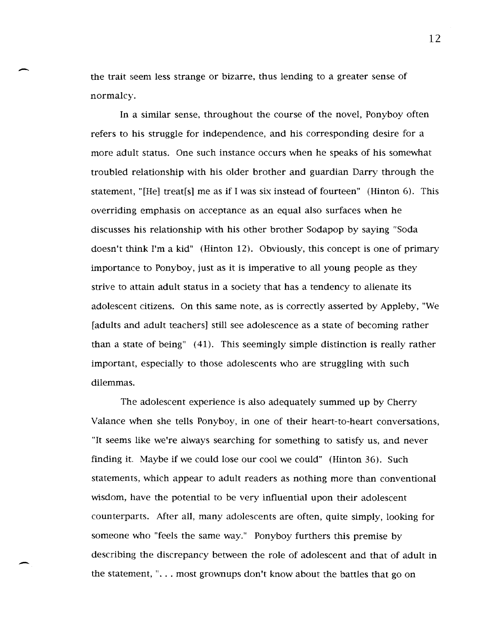the trait seem less strange or bizarre, thus lending to a greater sense of normalcy.

 $\overline{\phantom{0}}$ 

-

In a similar sense, throughout the course of the novel, Ponyboy often refers to his struggle for independence, and his corresponding desire for a more adult status. One such instance occurs when he speaks of his somewhat troubled relationship with his older brother and guardian Darry through the statement, "[He] treat[s] me as if I was six instead of fourteen" (Hinton 6). This overriding emphasis on acceptance as an equal also surfaces when he discusses his relationship with his other brother Sodapop by saying "Soda doesn't think I'm a kid" (Hinton 12). Obviously, this concept is one of primary importance to Ponyboy, just as it is imperative to all young people as they strive to attain adult status in a society that has a tendency to alienate its adolescent citizens. On this same note, as is correctly asserted by Appleby, "We [adults and adult teachers] still see adolescence as a state of becoming rather than a state of being" (41). This seemingly simple distinction is really rather important, especially to those adolescents who are struggling with such dilemmas.

The adolescent experience is also adequately summed up by Cherry Valance when she tells Ponyboy, in one of their heart-to-heart conversations, "It seems like we're always searching for something to satisfy us, and never finding it. Maybe if we could lose our cool we could" (Hinton 36). Such statements, which appear to adult readers as nothing more than conventional wisdom, have the potential to be very influential upon their adolescent counterparts. After all, many adolescents are often, quite simply, looking for someone who "feels the same way." Ponyboy furthers this premise by describing the discrepancy between the role of adolescent and that of adult in the statement, " $\dots$  most grownups don't know about the battles that go on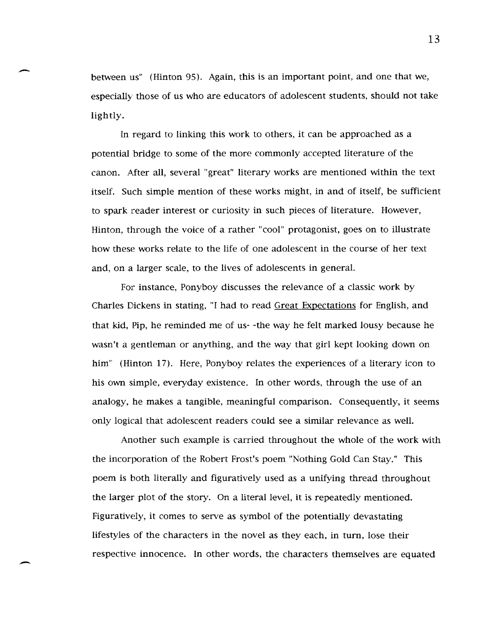between us" (Hinton 95). Again, this is an important point, and one that we, especially those of us who are educators of adolescent students, should not take lightly.

-

-

In regard to linking this work to others, it can be approached as a potential bridge to some of the more commonly accepted literature of the canon. After all, several "great" literary works are mentioned within the text itself. Such simple mention of these works might, in and of itself, be sufficient to spark reader interest or curiosity in such pieces of literature. However, Hinton, through the voice of a rather "cool" protagonist, goes on to illustrate how these works relate to the life of one adolescent in the course of her text and, on a larger scale, to the lives of adolescents in general.

For instance, Ponyboy discusses the relevance of a classic work by Charles Dickens in stating, "I had to read Great Expectations for English, and that kid, Pip, he reminded me of us- -the way he felt marked lousy because he wasn't a gentleman or anything, and the way that girl kept looking down on him" (Hinton 17). Here, Ponyboy relates the experiences of a literary icon to his own simple, everyday existence. In other words, through the use of an analogy, he makes a tangible, meaningful comparison. Consequently, it seems only logical that adolescent readers could see a similar relevance as well.

Another such example is carried throughout the whole of the work with the incorporation of the Robert Frost's poem "Nothing Gold Can Stay." This poem is both literally and figuratively used as a unifying thread throughout the larger plot of the story. On a literal level, it is repeatedly mentioned. Figuratively, it comes to serve as symbol of the potentially devastating lifestyles of the characters in the novel as they each, in turn, lose their respective innocence. In other words, the characters themselves are equated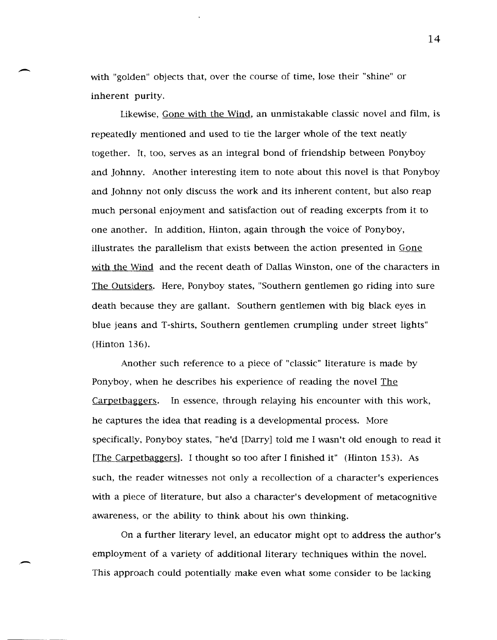with "golden" objects that, over the course of time, lose their "shine" or inherent purity.

-

.-

Likewise, Gone with the Wind, an unmistakable classic novel and film, is repeatedly mentioned and used to tie the larger whole of the text neatly together. It, too, serves as an integral bond of friendship between Ponyboy and Johnny. Another interesting item to note about this novel is that Ponyboy and Johnny not only discuss the work and its inherent content, but also reap much personal enjoyment and satisfaction out of reading excerpts from it to one another. In addition, Hinton, again through the voice of Ponyboy, illustrates the parallelism that exists between the action presented in Gone with the Wind and the recent death of Dallas Winston, one of the characters in The Outsiders. Here, Ponyboy states, "Southern gentlemen go riding into sure death because they are gallant. Southern gentlemen with big black eyes in blue jeans and T-shirts, Southern gentlemen crumpling under street lights" (Hinton 136).

Another such reference to a piece of "classic" literature is made by Ponyboy, when he describes his experience of reading the novel The Carpetbaggers. In essence, through relaying his encounter with this work, he captures the idea that reading is a developmental process. More specificailly, Ponyboy states, "he'd [Darry] told me I wasn't old enough to read it [The Carpetbaggers]. I thought so too after I finished it" (Hinton 153). As such, the reader witnesses not only a recollection of a character's experiences with a piece of literature, but also a character's development of metacognitive awareness, or the ability to think about his own thinking.

On a further literary level, an educator might opt to address the author's employment of a variety of additional literary techniques within the novel. This approach could potentially make even what some consider to be lacking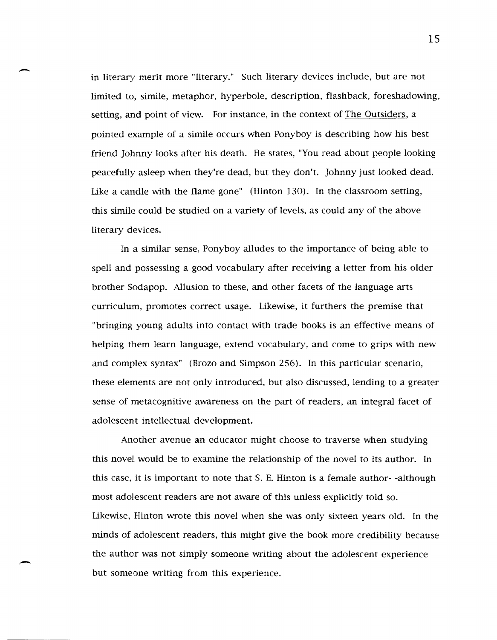in literary merit more "literary." Such literary devices include, but are not limited to, simile, metaphor, hyperbole, description, flashback, foreshadowing, setting, and point of view. For instance, in the context of The Outsiders, a pointed example of a simile occurs when Ponyboy is describing how his best friend Johnny looks after his death. He states, "You read about people looking peacefully asleep when they're dead, but they don't. Johnny just looked dead. Like a candle with the flame gone" (Hinton 130). In the classroom setting, this simile could be studied on a variety of levels, as could any of the above literary devices.

 $\overline{\phantom{0}}$ 

-

In a similar sense, Ponyboy alludes to the importance of being able to spell and possessing a good vocabulary after receiving a letter from his older brother Sodapop. Allusion to these, and other facets of the language arts curriculum, promotes correct usage. Likewise, it furthers the premise that "bringing young adults into contact with trade books is an effective means of helping them learn language, extend vocabulary, and come to grips with new and complex syntax" (Brozo and Simpson 256). In this particular scenario, these elements are not only introduced. but also discussed, lending to a greater sense of metacognitive awareness on the part of readers, an integral facet of adolescent intellectual development.

Another avenue an educator might choose to traverse when studying this novet would be to examine the relationship of the novel to its author. In this case, it is important to note that S. E. Hinton is a female author- -although most adolescent readers are not aware of this unless explicitly told so. Likewise, Hinton wrote this novel when she was only sixteen years old. In the minds of adolescent readers, this might give the book more credibility because the author was not simply someone writing about the adolescent experience but someone writing from this experience.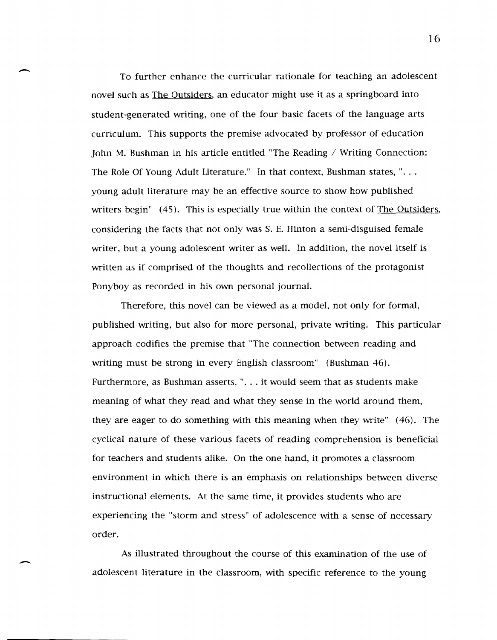To further enhance the curricular rationale for teaching an adolescent novel such as The Outsiders, an educator might use it as a springboard into student-generated writing, one of the four basic facets of the language arts curriculum. This supports the premise advocated by professor of education John M. Bushman in his article entitled "The Reading / Writing Connection: The Role Of Young Adult Literature." In that context, Bushman states, " $\ldots$ young adult literature may be an effective source to show how published writers begin" (45). This is especially true within the context of The Outsiders, considering the facts that not only was S. E. Hinton a semi-disguised female writer, but a young adolescent writer as well. In addition, the novel itself is written as if comprised of the thoughts and recollections of the protagonist Ponyboy as recorded in his own personal journal.

 $\overline{\phantom{a}}$ 

-

Therefore, this novel can be viewed as a model, not only for formal, published writing, but also for more personal, private writing. This particular approach codifies the premise that "The connection between reading and writing must be strong in every English classroom" (Bushman 46). Furthermore, as Bushman asserts, ". . . it would seem that as students make meaning of what they read and what they sense in the world around them, they are eager to do something with this meaning when they write" (46). The cyclical nature of these various facets of reading comprehension is beneficial for teachers and students alike. On the one hand, it promotes a classroom environment in which there is an emphasis on relationships between diverse instructional elements. At the same time, it provides students who are experiencing the "storm and stress" of adolescence with a sense of necessary order.

As illustrated throughout the course of this examination of the use of adolescent literature in the classroom, with specific reference to the young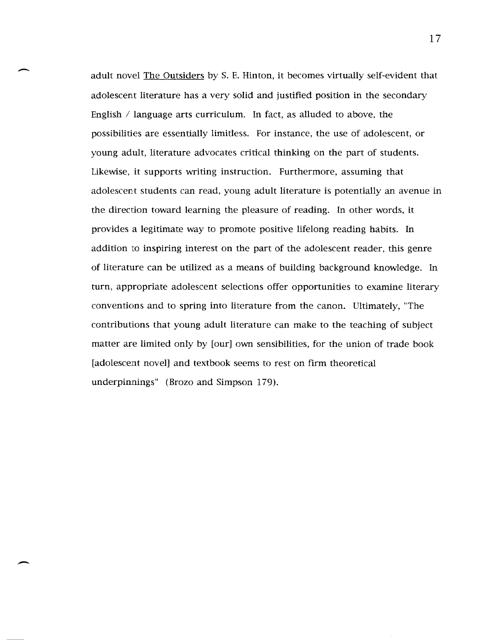adult novel The Outsiders by S. E. Hinton, it becomes virtually self-evident that adolescent literature has a very solid and justified position in the secondary English  $\ell$  language arts curriculum. In fact, as alluded to above, the possibilities are essentially limitless. For instance, the use of adolescent, or young adult, literature advocates critical thinking on the part of students. Likewise, it supports writing instruction. Furthermore, assuming that adolescent students can read, young adult literature is potentially an avenue in the direction toward learning the pleasure of reading. In other words, it provides a legitimate way to promote positive lifelong reading habits. In addition to inspiring interest on the part of the adolescent reader, this genre of literature can be utilized as a means of building background knowledge. In turn, appropriate adolescent selections offer opportunities to examine literary conventions and to spring into literature from the canon. Ultimately, "The contributions that young adult literature can make to the teaching of subject matter are limited only by [our] own sensibilities, for the union of trade book [adolescent novel] and textbook seems to rest on firm theoretical underpinnings" (Brozo and Simpson 179).

-

 $\overline{\phantom{a}}$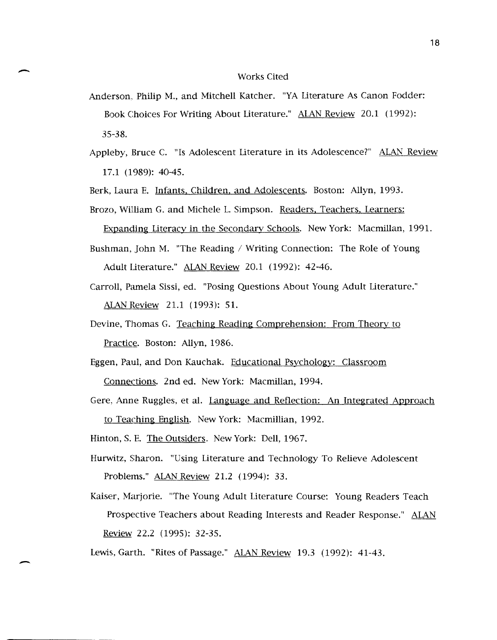## Works Cited

 $\overline{\phantom{a}}$ 

-

- Anderson, Philip M., and Mitchell Katcher. "YA Literature As Canon Fodder: Book Choices For Writing About Literature." ALAN Review 20.1 (1992): 35-38.
- Appleby, Bruce C. "Is Adolescent Literature in its Adolescence?" ALAN Review 17.1 (1989): 40-45.

Berk, Laura E. Infants, Children, and Adolescents. Boston: Allyn, 1993.

Brozo, William G. and Michele L. Simpson. Readers, Teachers, Learners:

Expanding Literacy in the Secondary Schools. New York: Macmillan, 1991.

- Bushman, John M. "The Reading / Writing Connection: The Role of Young Adult Literature." ALAN Review 20.1 (1992): 42-46.
- Carroll, Pamela Sissi, ed. "Posing Questions About Young Adult Literature." ALAN Review 21.1 (1993): 51.
- Devine, Thomas G. Teaching Reading Comprehension: From Theory to Practice. Boston: Allyn, 1986.
- Eggen, Paul, and Don Kauchak. Educational Psychology: Classroom Connections. 2nd ed. New York: Macmillan, 1994.
- Gere, Anne Ruggles, et al. Language and Reflection: An Integrated Approach

to Teaching English. New York: Macmillian, 1992.

Hinton, S. E. The Outsiders. New York: Dell, 1967.

- Hurwitz, Sharon. "Using Literature and Technology To Relieve Adolescent Problems." ALAN Review 21.2 (1994): 33.
- Kaiser, Marjorie. "The Young Adult Literature Course: Young Readers Teach Prospective Teachers about Reading Interests and Reader Response." ALAN Review 22.2 (1995): 32-35.

Lewis, Garth. "Rites of Passage." ALAN Review 19.3 (1992): 41-43.